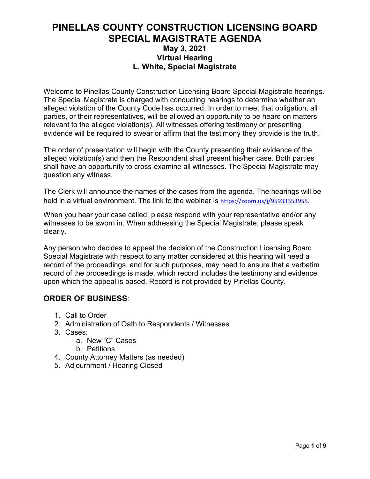## **PINELLAS COUNTY CONSTRUCTION LICENSING BOARD SPECIAL MAGISTRATE AGENDA May 3, 2021 Virtual Hearing L. White, Special Magistrate**

Welcome to Pinellas County Construction Licensing Board Special Magistrate hearings. The Special Magistrate is charged with conducting hearings to determine whether an alleged violation of the County Code has occurred. In order to meet that obligation, all parties, or their representatives, will be allowed an opportunity to be heard on matters relevant to the alleged violation(s). All witnesses offering testimony or presenting evidence will be required to swear or affirm that the testimony they provide is the truth.

The order of presentation will begin with the County presenting their evidence of the alleged violation(s) and then the Respondent shall present his/her case. Both parties shall have an opportunity to cross-examine all witnesses. The Special Magistrate may question any witness.

The Clerk will announce the names of the cases from the agenda. The hearings will be held in a virtual environment. The link to the webinar is [https://zoom.us/j/95933353955.](https://zoom.us/j/95933353955)

When you hear your case called, please respond with your representative and/or any witnesses to be sworn in. When addressing the Special Magistrate, please speak clearly.

Any person who decides to appeal the decision of the Construction Licensing Board Special Magistrate with respect to any matter considered at this hearing will need a record of the proceedings, and for such purposes, may need to ensure that a verbatim record of the proceedings is made, which record includes the testimony and evidence upon which the appeal is based. Record is not provided by Pinellas County.

### **ORDER OF BUSINESS**:

- 1. Call to Order
- 2. Administration of Oath to Respondents / Witnesses
- 3. Cases:
	- a. New "C" Cases
	- b. Petitions
- 4. County Attorney Matters (as needed)
- 5. Adjournment / Hearing Closed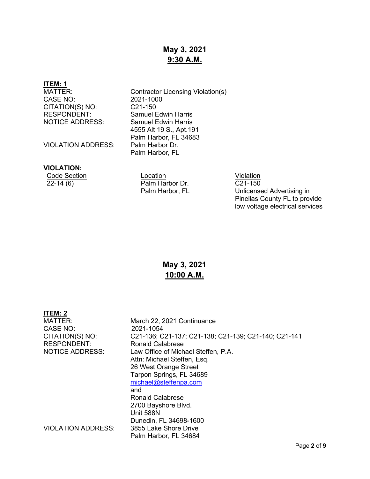## **May 3, 2021 9:30 A.M.**

# **ITEM: 1**

CASE NO: 2021-1000<br>CITATION(S) NO: C21-150 CITATION(S) NO:<br>RESPONDENT:

VIOLATION ADDRESS:

Contractor Licensing Violation(s) **Samuel Edwin Harris** NOTICE ADDRESS: Samuel Edwin Harris 4555 Alt 19 S., Apt.191 Palm Harbor, FL 34683<br>Palm Harbor Dr. Palm Harbor, FL

#### **VIOLATION:**

Code Section Location Violation Palm Harbor Dr. Palm Harbor, FL

C21-150 Unlicensed Advertising in Pinellas County FL to provide low voltage electrical services

## **May 3, 2021 10:00 A.M.**

| ITEM: 2                   |                                                      |
|---------------------------|------------------------------------------------------|
| MATTER:                   | March 22, 2021 Continuance                           |
| CASE NO:                  | 2021-1054                                            |
| CITATION(S) NO:           | C21-136; C21-137; C21-138; C21-139; C21-140; C21-141 |
| <b>RESPONDENT:</b>        | Ronald Calabrese                                     |
| <b>NOTICE ADDRESS:</b>    | Law Office of Michael Steffen, P.A.                  |
|                           | Attn: Michael Steffen, Esq.                          |
|                           | 26 West Orange Street                                |
|                           | Tarpon Springs, FL 34689                             |
|                           | michael@steffenpa.com                                |
|                           | and                                                  |
|                           | <b>Ronald Calabrese</b>                              |
|                           | 2700 Bayshore Blvd.                                  |
|                           | Unit 588N                                            |
|                           | Dunedin, FL 34698-1600                               |
| <b>VIOLATION ADDRESS:</b> | 3855 Lake Shore Drive                                |
|                           | Palm Harbor, FL 34684                                |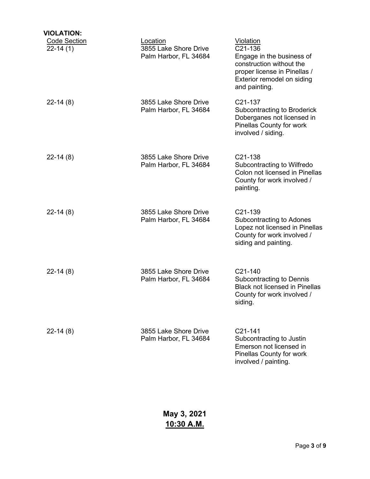| <b>VIOLATION:</b>                 |                                                            |                                                                                                                                                                     |
|-----------------------------------|------------------------------------------------------------|---------------------------------------------------------------------------------------------------------------------------------------------------------------------|
| <b>Code Section</b><br>$22-14(1)$ | Location<br>3855 Lake Shore Drive<br>Palm Harbor, FL 34684 | <b>Violation</b><br>C21-136<br>Engage in the business of<br>construction without the<br>proper license in Pinellas /<br>Exterior remodel on siding<br>and painting. |
| $22-14(8)$                        | 3855 Lake Shore Drive<br>Palm Harbor, FL 34684             | C21-137<br><b>Subcontracting to Broderick</b><br>Doberganes not licensed in<br>Pinellas County for work<br>involved / siding.                                       |
| $22-14(8)$                        | 3855 Lake Shore Drive<br>Palm Harbor, FL 34684             | C21-138<br>Subcontracting to Wilfredo<br>Colon not licensed in Pinellas<br>County for work involved /<br>painting.                                                  |
| $22-14(8)$                        | 3855 Lake Shore Drive<br>Palm Harbor, FL 34684             | C21-139<br>Subcontracting to Adones<br>Lopez not licensed in Pinellas<br>County for work involved /<br>siding and painting.                                         |
| $22-14(8)$                        | 3855 Lake Shore Drive<br>Palm Harbor, FL 34684             | C21-140<br><b>Subcontracting to Dennis</b><br><b>Black not licensed in Pinellas</b><br>County for work involved /<br>siding.                                        |
| $22-14(8)$                        | 3855 Lake Shore Drive<br>Palm Harbor, FL 34684             | C21-141<br>Subcontracting to Justin<br>Emerson not licensed in<br>Pinellas County for work<br>involved / painting.                                                  |

**May 3, 2021 10:30 A.M.**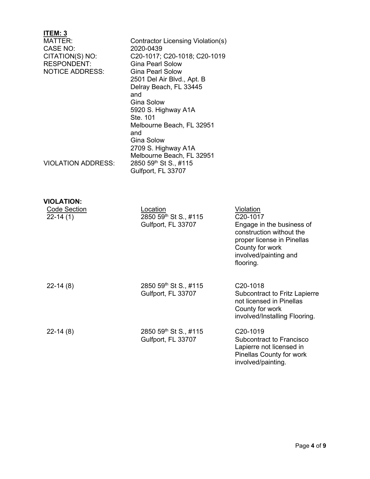| ITEM: 3                   |                                   |                                                       |
|---------------------------|-----------------------------------|-------------------------------------------------------|
| MATTER:                   | Contractor Licensing Violation(s) |                                                       |
| CASE NO:                  | 2020-0439                         |                                                       |
| CITATION(S) NO:           | C20-1017; C20-1018; C20-1019      |                                                       |
| <b>RESPONDENT:</b>        | <b>Gina Pearl Solow</b>           |                                                       |
| <b>NOTICE ADDRESS:</b>    | <b>Gina Pearl Solow</b>           |                                                       |
|                           | 2501 Del Air Blvd., Apt. B        |                                                       |
|                           | Delray Beach, FL 33445            |                                                       |
|                           | and                               |                                                       |
|                           | <b>Gina Solow</b>                 |                                                       |
|                           | 5920 S. Highway A1A               |                                                       |
|                           | Ste. 101                          |                                                       |
|                           | Melbourne Beach, FL 32951         |                                                       |
|                           | and                               |                                                       |
|                           | Gina Solow                        |                                                       |
|                           | 2709 S. Highway A1A               |                                                       |
|                           | Melbourne Beach, FL 32951         |                                                       |
| <b>VIOLATION ADDRESS:</b> | 2850 59th St S., #115             |                                                       |
|                           | Gulfport, FL 33707                |                                                       |
|                           |                                   |                                                       |
|                           |                                   |                                                       |
|                           |                                   |                                                       |
| <b>VIOLATION:</b>         |                                   |                                                       |
| Code Section              | Location                          | Violation<br>C20-1017                                 |
| $22 - 14(1)$              | 2850 59th St S., #115             |                                                       |
|                           | Gulfport, FL 33707                | Engage in the business of<br>construction without the |

| $22-14(8)$ | 2850 59th St S., #115<br>Gulfport, FL 33707 | C <sub>20</sub> -1018<br><b>Subcontract to Fritz Lapierre</b><br>not licensed in Pinellas<br>County for work<br>involved/Installing Flooring. |
|------------|---------------------------------------------|-----------------------------------------------------------------------------------------------------------------------------------------------|
| $22-14(8)$ | 2850 59th St S., #115<br>Gulfport, FL 33707 | C <sub>20</sub> -1019<br>Subcontract to Francisco<br>Lapierre not licensed in<br><b>Pinellas County for work</b><br>involved/painting.        |

proper license in Pinellas

County for work involved/painting and

flooring.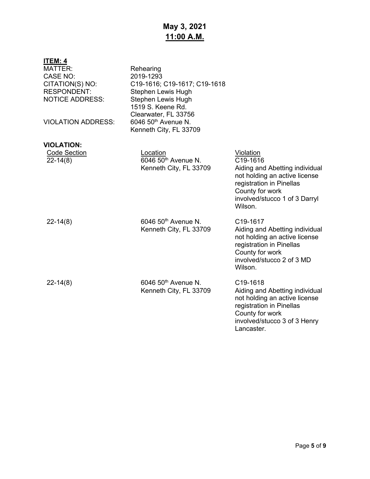## **May 3, 2021 11:00 A.M.**

| <u>ITEM: 4</u><br><b>MATTER:</b><br><b>CASE NO:</b><br>CITATION(S) NO:<br><b>RESPONDENT:</b><br><b>NOTICE ADDRESS:</b><br><b>VIOLATION ADDRESS:</b> | Rehearing<br>2019-1293<br>C19-1616; C19-1617; C19-1618<br>Stephen Lewis Hugh<br>Stephen Lewis Hugh<br>1519 S. Keene Rd.<br>Clearwater, FL 33756<br>6046 50 <sup>th</sup> Avenue N.<br>Kenneth City, FL 33709 |                                                                                                                                                                                     |
|-----------------------------------------------------------------------------------------------------------------------------------------------------|--------------------------------------------------------------------------------------------------------------------------------------------------------------------------------------------------------------|-------------------------------------------------------------------------------------------------------------------------------------------------------------------------------------|
| <b>VIOLATION:</b>                                                                                                                                   |                                                                                                                                                                                                              |                                                                                                                                                                                     |
| <b>Code Section</b><br>$22 - 14(8)$                                                                                                                 | Location<br>6046 50 <sup>th</sup> Avenue N.<br>Kenneth City, FL 33709                                                                                                                                        | Violation<br>C19-1616<br>Aiding and Abetting individual<br>not holding an active license<br>registration in Pinellas<br>County for work<br>involved/stucco 1 of 3 Darryl<br>Wilson. |
| $22 - 14(8)$                                                                                                                                        | 6046 50 <sup>th</sup> Avenue N.<br>Kenneth City, FL 33709                                                                                                                                                    | C19-1617<br>Aiding and Abetting individual<br>not holding an active license<br>registration in Pinellas<br>County for work<br>involved/stucco 2 of 3 MD<br>Wilson.                  |
| $22 - 14(8)$                                                                                                                                        | 6046 50 <sup>th</sup> Avenue N.<br>Kenneth City, FL 33709                                                                                                                                                    | C19-1618<br>Aiding and Abetting individual<br>not holding an active license<br>registration in Pinellas<br>County for work<br>involved/stucco 3 of 3 Henry<br>Lancaster.            |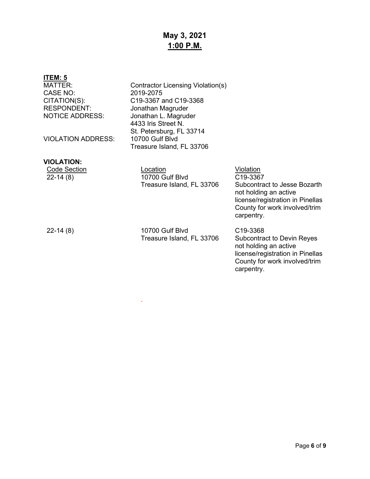## **May 3, 2021 1:00 P.M.**

| <b>ITEM: 5</b><br><b>MATTER:</b><br>CASE NO:<br>CITATION(S):<br><b>RESPONDENT:</b><br><b>NOTICE ADDRESS:</b> | Contractor Licensing Violation(s)<br>2019-2075<br>C19-3367 and C19-3368<br>Jonathan Magruder<br>Jonathan L. Magruder<br>4433 Iris Street N.<br>St. Petersburg, FL 33714 |                                                                                                                                                                        |
|--------------------------------------------------------------------------------------------------------------|-------------------------------------------------------------------------------------------------------------------------------------------------------------------------|------------------------------------------------------------------------------------------------------------------------------------------------------------------------|
| <b>VIOLATION ADDRESS:</b>                                                                                    | 10700 Gulf Blyd<br>Treasure Island, FL 33706                                                                                                                            |                                                                                                                                                                        |
| <b>VIOLATION:</b><br><b>Code Section</b><br>$22-14(8)$                                                       | Location<br>10700 Gulf Blvd<br>Treasure Island, FL 33706                                                                                                                | Violation<br>C19-3367<br>Subcontract to Jesse Bozarth<br>not holding an active<br>license/registration in Pinellas<br>County for work involved/trim<br>carpentry.      |
| $22 - 14(8)$                                                                                                 | 10700 Gulf Blyd<br>Treasure Island, FL 33706                                                                                                                            | C <sub>19</sub> -3368<br><b>Subcontract to Devin Reyes</b><br>not holding an active<br>license/registration in Pinellas<br>County for work involved/trim<br>carpentry. |

.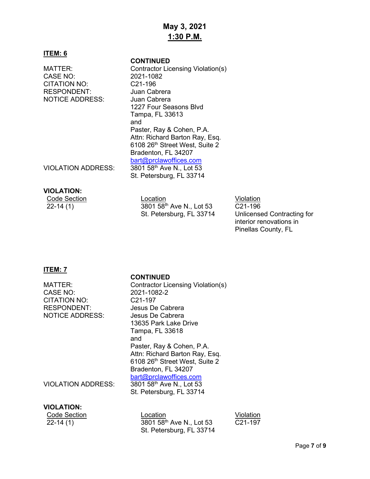## **May 3, 2021 1:30 P.M.**

#### **ITEM: 6**

CASE NO: 2021-1082<br>CITATION NO: C21-196 CITATION NO: RESPONDENT: Juan Cabrera NOTICE ADDRESS: Juan Cabrera

#### **CONTINUED**

MATTER: Contractor Licensing Violation(s) 1227 Four Seasons Blvd Tampa, FL 33613 and Paster, Ray & Cohen, P.A. Attn: Richard Barton Ray, Esq. 6108 26th Street West, Suite 2 Bradenton, FL 34207 [bart@prclawoffices.com](mailto:bart@prclawoffices.com)

VIOLATION ADDRESS: 3801 58th Ave N., Lot 53

#### **VIOLATION:**

|           | <b>Code Sectior</b> |  |
|-----------|---------------------|--|
| 22-14 (1) |                     |  |

<u>n</u> Code Section Location Code Section Contract Code Section Code Section Number of Section Code Section Section S 3801 58<sup>th</sup> Ave N., Lot 53 St. Petersburg, FL 33714

St. Petersburg, FL 33714

C21-196 Unlicensed Contracting for interior renovations in Pinellas County, FL

### **ITEM: 7**

#### **CONTINUED**

|                           | <b>CONTINUED</b>                     |
|---------------------------|--------------------------------------|
| MATTER:                   | Contractor Licensing Violation(s)    |
| <b>CASE NO:</b>           | 2021-1082-2                          |
| <b>CITATION NO:</b>       | C <sub>21</sub> -197                 |
| <b>RESPONDENT:</b>        | Jesus De Cabrera                     |
| <b>NOTICE ADDRESS:</b>    | Jesus De Cabrera                     |
|                           | 13635 Park Lake Drive                |
|                           | Tampa, FL 33618                      |
|                           | and                                  |
|                           | Paster, Ray & Cohen, P.A.            |
|                           | Attn: Richard Barton Ray, Esq.       |
|                           | 6108 26th Street West, Suite 2       |
|                           | Bradenton, FL 34207                  |
|                           | bart@prclawoffices.com               |
| <b>VIOLATION ADDRESS:</b> | 3801 58 <sup>th</sup> Ave N., Lot 53 |
|                           | St. Petersburg, FL 33714             |
|                           |                                      |

| <b>VIOLATION:</b> |
|-------------------|
|-------------------|

| Code Section | Location                             | Violation |
|--------------|--------------------------------------|-----------|
| 22-14 (1)    | 3801 58 <sup>th</sup> Ave N., Lot 53 | C21-197   |
|              | St. Petersburg, FL 33714             |           |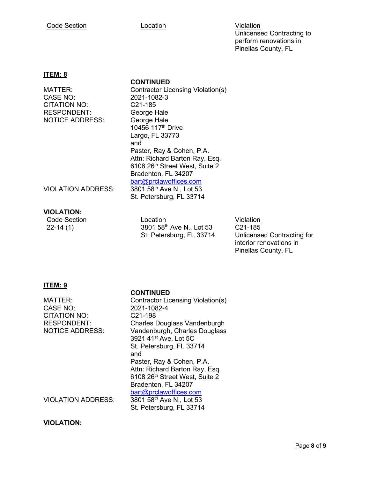#### Code Section **Location Location Location Violation**

Unlicensed Contracting to perform renovations in Pinellas County, FL

#### **ITEM: 8**

**CONTINUED**

CASE NO: 2021-1082-3<br>CITATION NO: C21-185 CITATION NO: RESPONDENT: George Hale NOTICE ADDRESS: George Hale

MATTER: Contractor Licensing Violation(s) 10456 117th Drive Largo, FL 33773 and Paster, Ray & Cohen, P.A. Attn: Richard Barton Ray, Esq. 6108 26th Street West, Suite 2 Bradenton, FL 34207 [bart@prclawoffices.com](mailto:bart@prclawoffices.com) St. Petersburg, FL 33714

VIOLATION ADDRESS: 3801 58<sup>th</sup> Ave N., Lot 53

**VIOLATION:**<br>Code Section<br>22-14 (1)

**Code Section Location Code Section Code Section** 22-14 (1) 3801 58<sup>th</sup> Ave N., Lot 53 St. Petersburg, FL 33714

C21-185 Unlicensed Contracting for interior renovations in Pinellas County, FL

#### **ITEM: 9**

#### **CONTINUED**

| MATTER:                   | <b>Contractor Licensing Violation(s)</b> |
|---------------------------|------------------------------------------|
| <b>CASE NO:</b>           | 2021-1082-4                              |
| <b>CITATION NO:</b>       | C <sub>21</sub> -198                     |
| <b>RESPONDENT:</b>        | Charles Douglass Vandenburgh             |
| <b>NOTICE ADDRESS:</b>    | Vandenburgh, Charles Douglass            |
|                           | 3921 41 <sup>st</sup> Ave, Lot 5C        |
|                           | St. Petersburg, FL 33714                 |
|                           | and                                      |
|                           | Paster, Ray & Cohen, P.A.                |
|                           | Attn: Richard Barton Ray, Esq.           |
|                           | 6108 26th Street West, Suite 2           |
|                           | Bradenton, FL 34207                      |
|                           | bart@prclawoffices.com                   |
| <b>VIOLATION ADDRESS:</b> | 3801 58 <sup>th</sup> Ave N., Lot 53     |
|                           | St. Petersburg, FL 33714                 |
|                           |                                          |

**VIOLATION:**